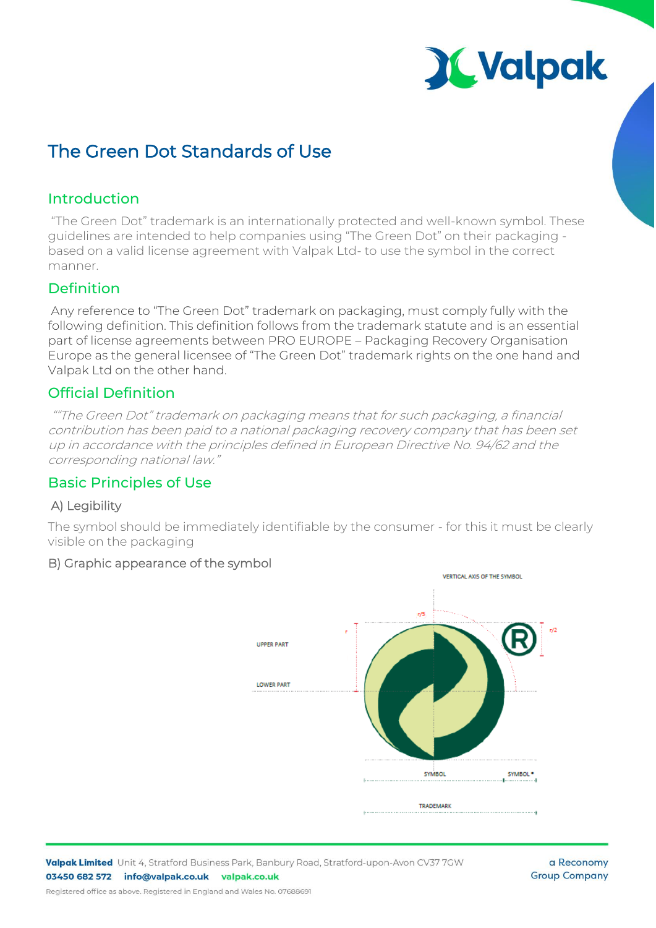# **X Valpak**

# The Green Dot Standards of Use

# Introduction

"The Green Dot" trademark is an internationally protected and well-known symbol. These guidelines are intended to help companies using "The Green Dot" on their packaging based on a valid license agreement with Valpak Ltd- to use the symbol in the correct manner.

## Definition

Any reference to "The Green Dot" trademark on packaging, must comply fully with the following definition. This definition follows from the trademark statute and is an essential part of license agreements between PRO EUROPE – Packaging Recovery Organisation Europe as the general licensee of "The Green Dot" trademark rights on the one hand and Valpak Ltd on the other hand.

# Official Definition

""The Green Dot" trademark on packaging means that for such packaging, a financial contribution has been paid to a national packaging recovery company that has been set up in accordance with the principles defined in European Directive No. 94/62 and the corresponding national law."

## Basic Principles of Use

#### A) Legibility

The symbol should be immediately identifiable by the consumer - for this it must be clearly visible on the packaging

#### B) Graphic appearance of the symbol



Valpak Limited Unit 4, Stratford Business Park, Banbury Road, Stratford-upon-Avon CV37 7GW 03450 682 572 info@valpak.co.uk valpak.co.uk

a Reconomy **Group Company**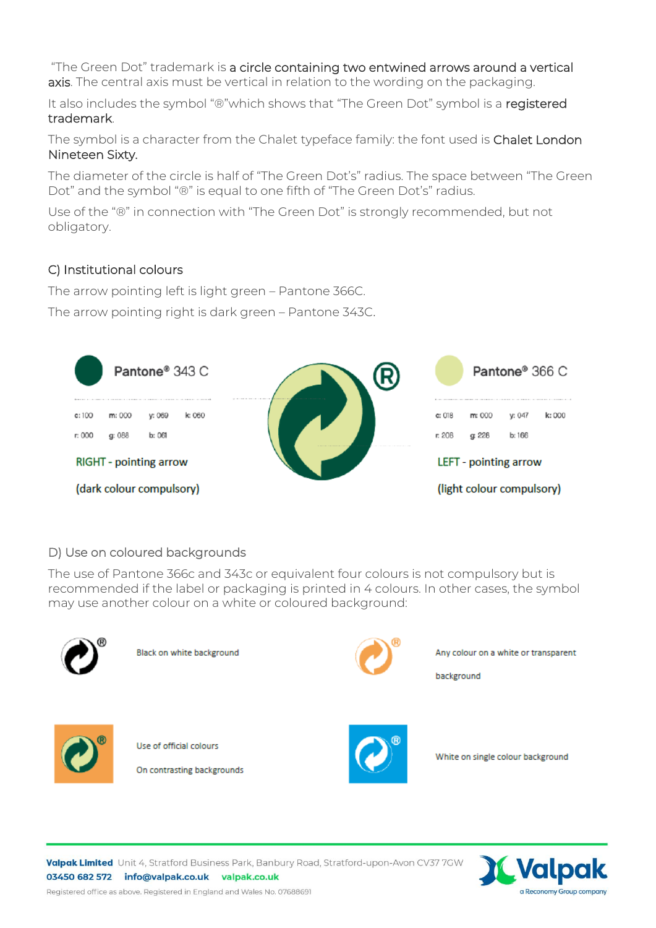"The Green Dot" trademark is a circle containing two entwined arrows around a vertical axis. The central axis must be vertical in relation to the wording on the packaging.

It also includes the symbol "®"which shows that "The Green Dot" symbol is a registered trademark.

The symbol is a character from the Chalet typeface family: the font used is Chalet London Nineteen Sixty.

The diameter of the circle is half of "The Green Dot's" radius. The space between "The Green Dot" and the symbol "®" is equal to one fifth of "The Green Dot's" radius.

Use of the "®" in connection with "The Green Dot" is strongly recommended, but not obligatory.

#### C) Institutional colours

The arrow pointing left is light green – Pantone 366C.

The arrow pointing right is dark green – Pantone 343C.



#### D) Use on coloured backgrounds

The use of Pantone 366c and 343c or equivalent four colours is not compulsory but is recommended if the label or packaging is printed in 4 colours. In other cases, the symbol may use another colour on a white or coloured background:



Valpak Limited Unit 4, Stratford Business Park, Banbury Road, Stratford-upon-Avon CV37 7GW 03450 682 572 info@valpak.co.uk valpak.co.uk



Registered office as above. Registered in England and Wales No. 07688691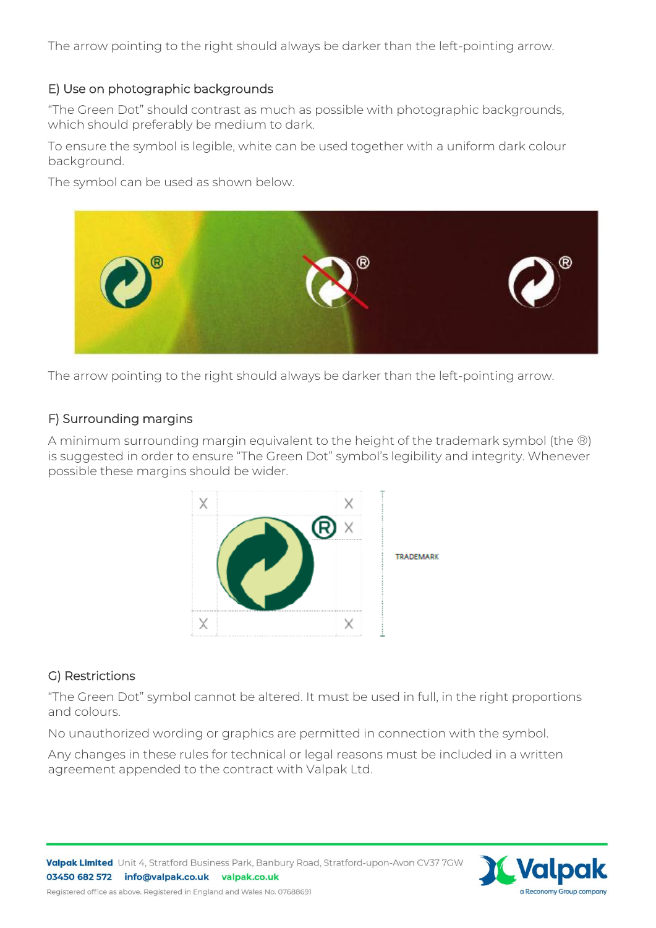The arrow pointing to the right should always be darker than the left-pointing arrow.

#### E) Use on photographic backgrounds

"The Green Dot" should contrast as much as possible with photographic backgrounds, which should preferably be medium to dark.

To ensure the symbol is legible, white can be used together with a uniform dark colour background.

The symbol can be used as shown below.



The arrow pointing to the right should always be darker than the left-pointing arrow.

#### F) Surrounding margins

A minimum surrounding margin equivalent to the height of the trademark symbol (the ®) is suggested in order to ensure "The Green Dot" symbol's legibility and integrity. Whenever possible these margins should be wider.



#### G) Restrictions

"The Green Dot" symbol cannot be altered. It must be used in full, in the right proportions and colours.

No unauthorized wording or graphics are permitted in connection with the symbol.

Any changes in these rules for technical or legal reasons must be included in a written agreement appended to the contract with Valpak Ltd.

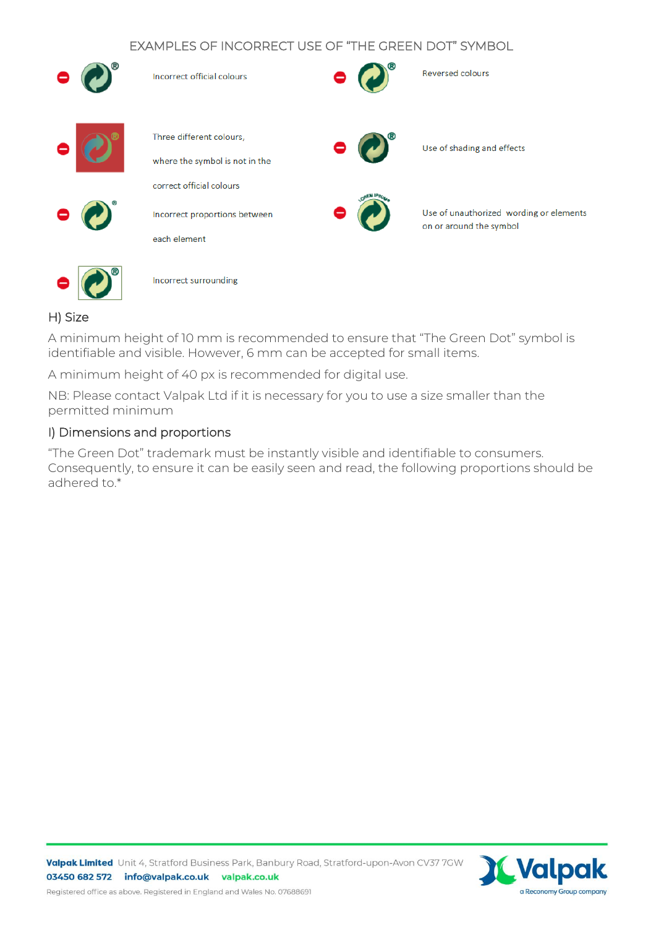#### EXAMPLES OF INCORRECT USE OF "THE GREEN DOT" SYMBOL



#### H) Size

A minimum height of 10 mm is recommended to ensure that "The Green Dot" symbol is identifiable and visible. However, 6 mm can be accepted for small items.

A minimum height of 40 px is recommended for digital use.

NB: Please contact Valpak Ltd if it is necessary for you to use a size smaller than the permitted minimum

#### I) Dimensions and proportions

"The Green Dot" trademark must be instantly visible and identifiable to consumers. Consequently, to ensure it can be easily seen and read, the following proportions should be adhered to\*